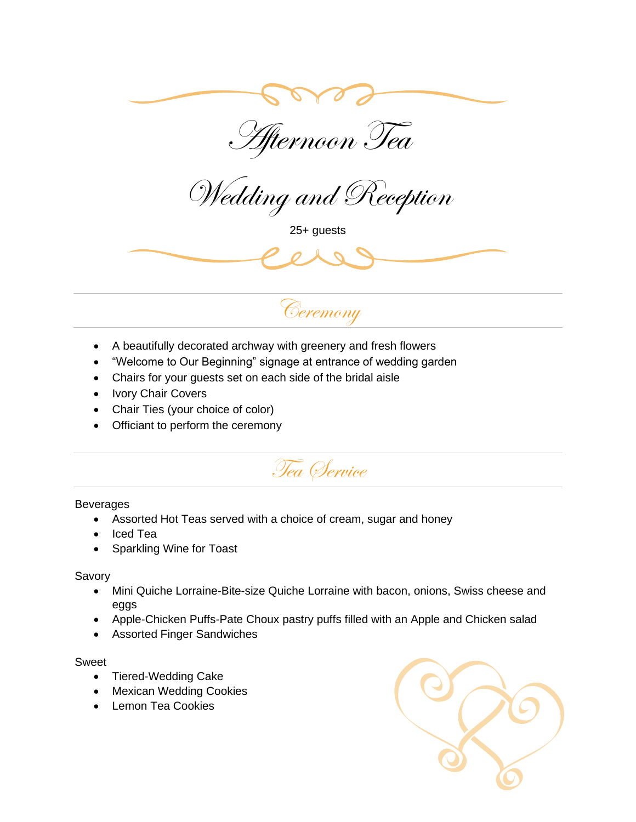

Afternoon Tea

Wedding and Reception

25+ guests





- A beautifully decorated archway with greenery and fresh flowers
- "Welcome to Our Beginning" signage at entrance of wedding garden
- Chairs for your guests set on each side of the bridal aisle
- Ivory Chair Covers
- Chair Ties (your choice of color)
- Officiant to perform the ceremony



## Beverages

- Assorted Hot Teas served with a choice of cream, sugar and honey
- Iced Tea
- Sparkling Wine for Toast

## Savory

- Mini Quiche Lorraine-Bite-size Quiche Lorraine with bacon, onions, Swiss cheese and eggs
- Apple-Chicken Puffs-Pate Choux pastry puffs filled with an Apple and Chicken salad
- Assorted Finger Sandwiches

## Sweet

- Tiered-Wedding Cake
- Mexican Wedding Cookies
- Lemon Tea Cookies